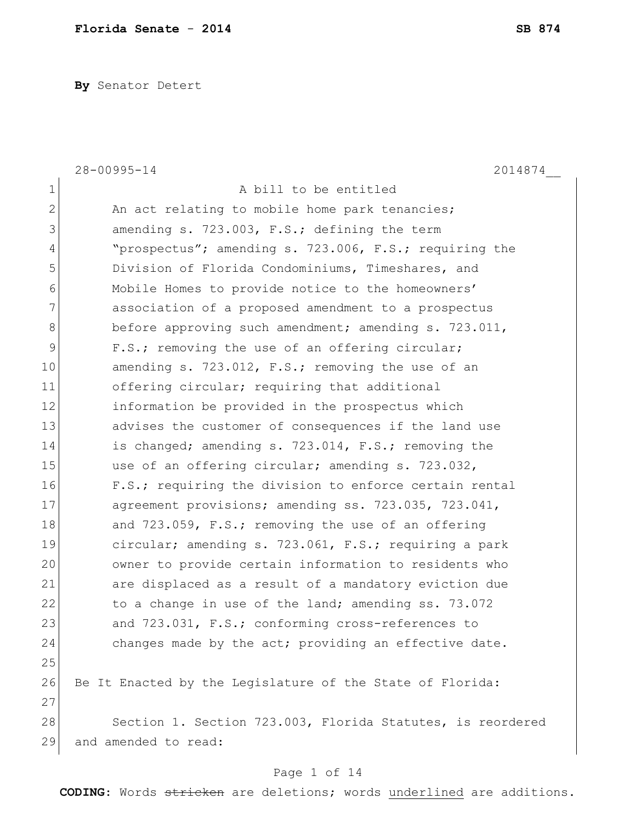**By** Senator Detert

|                | $28 - 00995 - 14$<br>2014874                               |
|----------------|------------------------------------------------------------|
| $\mathbf 1$    | A bill to be entitled                                      |
| $\overline{2}$ | An act relating to mobile home park tenancies;             |
| 3              | amending s. 723.003, F.S.; defining the term               |
| 4              | "prospectus"; amending s. 723.006, F.S.; requiring the     |
| 5              | Division of Florida Condominiums, Timeshares, and          |
| 6              | Mobile Homes to provide notice to the homeowners'          |
| 7              | association of a proposed amendment to a prospectus        |
| $8\,$          | before approving such amendment; amending s. 723.011,      |
| 9              | F.S.; removing the use of an offering circular;            |
| 10             | amending s. 723.012, F.S.; removing the use of an          |
| 11             | offering circular; requiring that additional               |
| 12             | information be provided in the prospectus which            |
| 13             | advises the customer of consequences if the land use       |
| 14             | is changed; amending s. 723.014, F.S.; removing the        |
| 15             | use of an offering circular; amending s. 723.032,          |
| 16             | F.S.; requiring the division to enforce certain rental     |
| 17             | agreement provisions; amending ss. 723.035, 723.041,       |
| 18             | and 723.059, F.S.; removing the use of an offering         |
| 19             | circular; amending s. 723.061, F.S.; requiring a park      |
| 20             | owner to provide certain information to residents who      |
| 21             | are displaced as a result of a mandatory eviction due      |
| 22             | to a change in use of the land; amending ss. 73.072        |
| 23             | and 723.031, F.S.; conforming cross-references to          |
| 24             | changes made by the act; providing an effective date.      |
| 25             |                                                            |
| 26             | Be It Enacted by the Legislature of the State of Florida:  |
| 27             |                                                            |
| 28             | Section 1. Section 723.003, Florida Statutes, is reordered |
| 29             | and amended to read:                                       |
|                |                                                            |

#### Page 1 of 14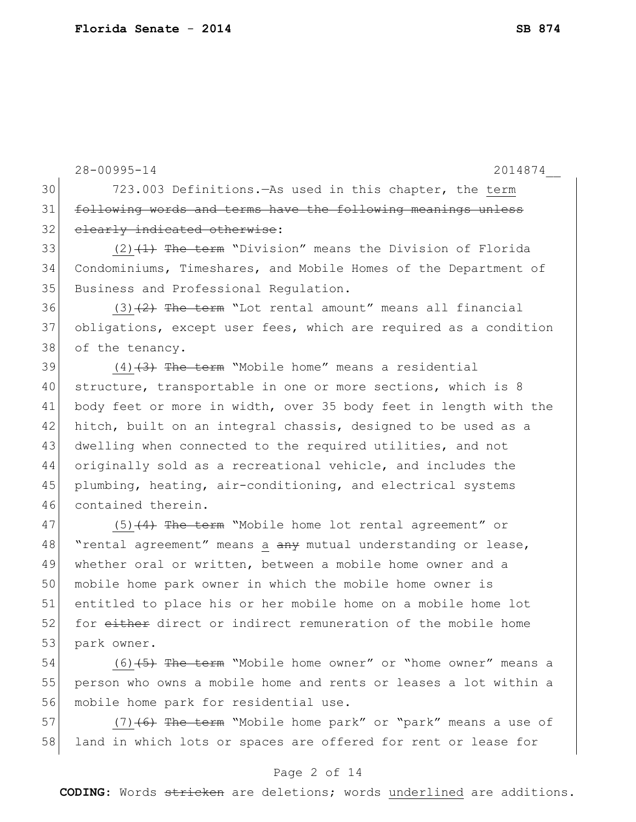28-00995-14 2014874\_\_ 30 723.003 Definitions.—As used in this chapter, the term 31 following words and terms have the following meanings unless 32 clearly indicated otherwise: 33  $(2)$   $(1)$  The term "Division" means the Division of Florida 34 Condominiums, Timeshares, and Mobile Homes of the Department of 35 Business and Professional Regulation. 36  $(3)$   $(2)$  The term "Lot rental amount" means all financial 37 obligations, except user fees, which are required as a condition 38 of the tenancy. 39  $(4)$   $\overline{3}$  The term "Mobile home" means a residential 40 structure, transportable in one or more sections, which is 8 41 body feet or more in width, over 35 body feet in length with the 42 hitch, built on an integral chassis, designed to be used as a 43 dwelling when connected to the required utilities, and not 44 originally sold as a recreational vehicle, and includes the 45 plumbing, heating, air-conditioning, and electrical systems 46 contained therein.  $47$  (5)<del>(4) The term</del> "Mobile home lot rental agreement" or 48 | "rental agreement" means a any mutual understanding or lease, 49 whether oral or written, between a mobile home owner and a 50 mobile home park owner in which the mobile home owner is 51 entitled to place his or her mobile home on a mobile home lot 52 for either direct or indirect remuneration of the mobile home 53 park owner. 54  $(6)$  (6) (5) The term "Mobile home owner" or "home owner" means a

55 person who owns a mobile home and rents or leases a lot within a 56 mobile home park for residential use.

57 (7)<del>(6) The term</del> "Mobile home park" or "park" means a use of 58 land in which lots or spaces are offered for rent or lease for

#### Page 2 of 14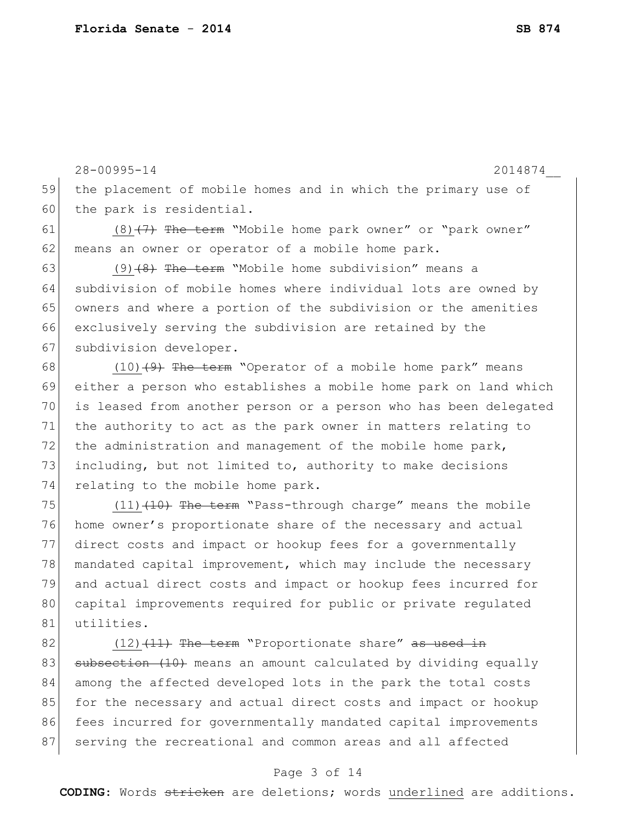28-00995-14 2014874\_\_ 59 the placement of mobile homes and in which the primary use of 60 the park is residential. 61  $(8)$   $(7)$  The term "Mobile home park owner" or "park owner" 62 means an owner or operator of a mobile home park. 63 (9)  $(9)$  + The term "Mobile home subdivision" means a 64 subdivision of mobile homes where individual lots are owned by 65 owners and where a portion of the subdivision or the amenities 66 exclusively serving the subdivision are retained by the 67 subdivision developer. 68  $(10)$   $(9)$  The term "Operator of a mobile home park" means 69 either a person who establishes a mobile home park on land which 70 is leased from another person or a person who has been delegated 71 the authority to act as the park owner in matters relating to 72 the administration and management of the mobile home park, 73 including, but not limited to, authority to make decisions 74 relating to the mobile home park. 75  $(11)$   $(10)$  The term "Pass-through charge" means the mobile 76 home owner's proportionate share of the necessary and actual 77 direct costs and impact or hookup fees for a governmentally 78 mandated capital improvement, which may include the necessary

79 and actual direct costs and impact or hookup fees incurred for 80 capital improvements required for public or private regulated 81 utilities.

82  $(12)$   $(11)$  The term "Proportionate share" as used in 83 subsection (10) means an amount calculated by dividing equally 84 among the affected developed lots in the park the total costs 85 for the necessary and actual direct costs and impact or hookup 86 fees incurred for governmentally mandated capital improvements 87 serving the recreational and common areas and all affected

#### Page 3 of 14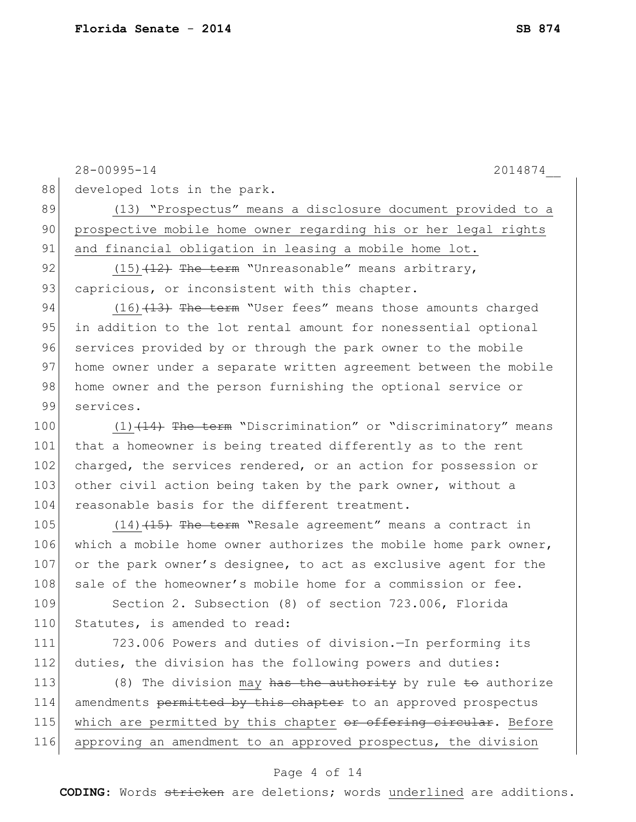|     | $28 - 00995 - 14$<br>2014874                                     |
|-----|------------------------------------------------------------------|
| 88  | developed lots in the park.                                      |
| 89  | (13) "Prospectus" means a disclosure document provided to a      |
| 90  | prospective mobile home owner regarding his or her legal rights  |
| 91  | and financial obligation in leasing a mobile home lot.           |
| 92  | $(15)$ $(12)$ The term "Unreasonable" means arbitrary,           |
| 93  | capricious, or inconsistent with this chapter.                   |
| 94  | $(16)$ $(13)$ The term "User fees" means those amounts charged   |
| 95  | in addition to the lot rental amount for nonessential optional   |
| 96  | services provided by or through the park owner to the mobile     |
| 97  | home owner under a separate written agreement between the mobile |
| 98  | home owner and the person furnishing the optional service or     |
| 99  | services.                                                        |
| 100 | $(1)$ $(14)$ The term "Discrimination" or "discriminatory" means |
| 101 | that a homeowner is being treated differently as to the rent     |
| 102 | charged, the services rendered, or an action for possession or   |
| 103 | other civil action being taken by the park owner, without a      |
| 104 | reasonable basis for the different treatment.                    |
| 105 | $(14)$ $(15)$ The term "Resale agreement" means a contract in    |
| 106 | which a mobile home owner authorizes the mobile home park owner, |
| 107 | or the park owner's designee, to act as exclusive agent for the  |
| 108 | sale of the homeowner's mobile home for a commission or fee.     |
| 109 | Section 2. Subsection (8) of section 723.006, Florida            |
| 110 | Statutes, is amended to read:                                    |
| 111 | 723.006 Powers and duties of division. In performing its         |
| 112 | duties, the division has the following powers and duties:        |
| 113 | (8) The division may has the authority by rule to authorize      |
| 114 | amendments permitted by this chapter to an approved prospectus   |
| 115 | which are permitted by this chapter or offering circular. Before |
| 116 | approving an amendment to an approved prospectus, the division   |
|     |                                                                  |

# Page 4 of 14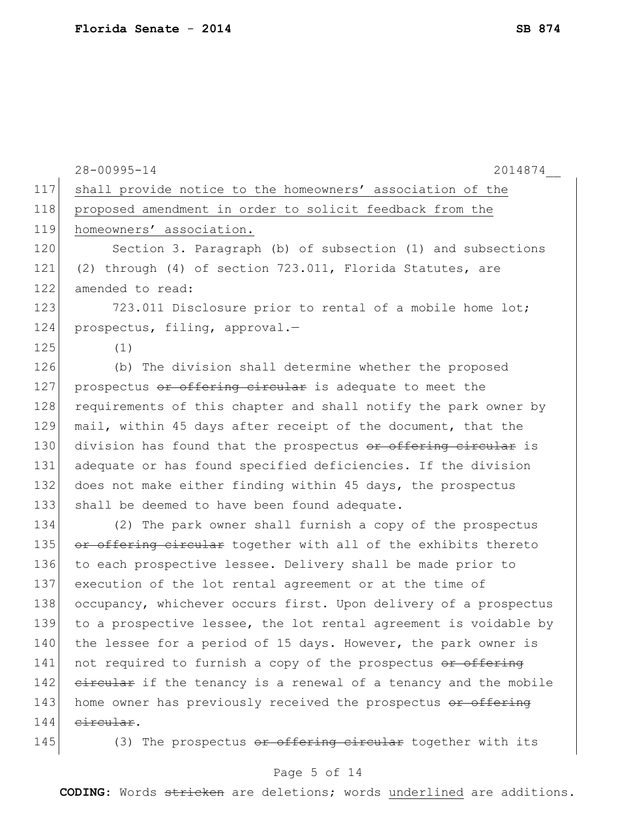|     | $28 - 00995 - 14$<br>2014874                                     |
|-----|------------------------------------------------------------------|
| 117 | shall provide notice to the homeowners' association of the       |
| 118 | proposed amendment in order to solicit feedback from the         |
| 119 | homeowners' association.                                         |
| 120 | Section 3. Paragraph (b) of subsection (1) and subsections       |
| 121 | (2) through (4) of section 723.011, Florida Statutes, are        |
| 122 | amended to read:                                                 |
| 123 | 723.011 Disclosure prior to rental of a mobile home lot;         |
| 124 | prospectus, filing, approval.-                                   |
| 125 | (1)                                                              |
| 126 | (b) The division shall determine whether the proposed            |
| 127 | prospectus or offering circular is adequate to meet the          |
| 128 | requirements of this chapter and shall notify the park owner by  |
| 129 | mail, within 45 days after receipt of the document, that the     |
| 130 | division has found that the prospectus or offering circular is   |
| 131 | adequate or has found specified deficiencies. If the division    |
| 132 | does not make either finding within 45 days, the prospectus      |
| 133 | shall be deemed to have been found adequate.                     |
| 134 | (2) The park owner shall furnish a copy of the prospectus        |
| 135 | or offering circular together with all of the exhibits thereto   |
| 136 | to each prospective lessee. Delivery shall be made prior to      |
| 137 | execution of the lot rental agreement or at the time of          |
| 138 | occupancy, whichever occurs first. Upon delivery of a prospectus |
| 139 | to a prospective lessee, the lot rental agreement is voidable by |
| 140 | the lessee for a period of 15 days. However, the park owner is   |
| 141 | not required to furnish a copy of the prospectus or offering     |
| 142 | eircular if the tenancy is a renewal of a tenancy and the mobile |
| 143 | home owner has previously received the prospectus or offering    |
| 144 | eireular.                                                        |
| 145 | (3) The prospectus or offering circular together with its        |

# Page 5 of 14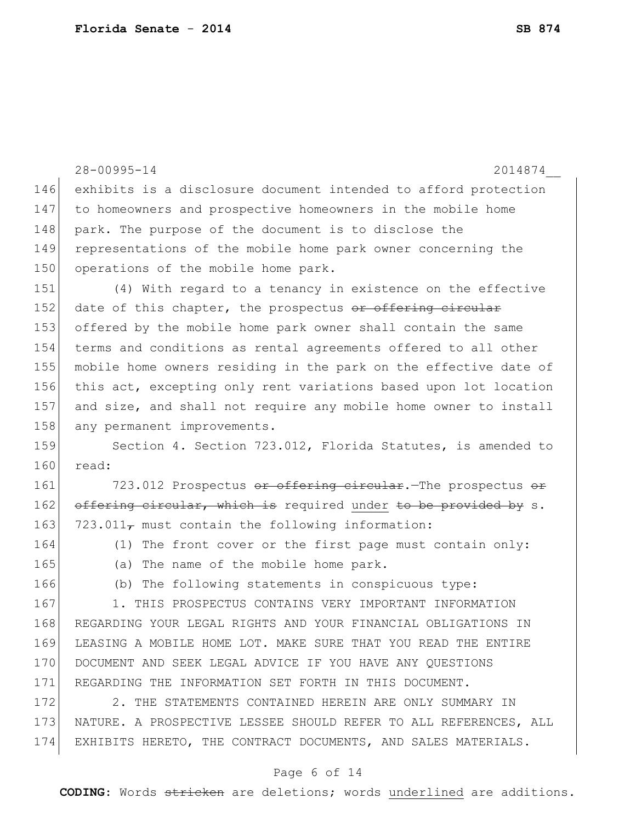|     | $28 - 00995 - 14$<br>2014874                                     |
|-----|------------------------------------------------------------------|
| 146 | exhibits is a disclosure document intended to afford protection  |
| 147 | to homeowners and prospective homeowners in the mobile home      |
| 148 | park. The purpose of the document is to disclose the             |
| 149 | representations of the mobile home park owner concerning the     |
| 150 | operations of the mobile home park.                              |
| 151 | (4) With regard to a tenancy in existence on the effective       |
| 152 | date of this chapter, the prospectus or offering circular        |
| 153 | offered by the mobile home park owner shall contain the same     |
| 154 | terms and conditions as rental agreements offered to all other   |
| 155 | mobile home owners residing in the park on the effective date of |
| 156 | this act, excepting only rent variations based upon lot location |
| 157 | and size, and shall not require any mobile home owner to install |
| 158 | any permanent improvements.                                      |
| 159 | Section 4. Section 723.012, Florida Statutes, is amended to      |
| 160 | read:                                                            |
| 161 | 723.012 Prospectus or offering circular. The prospectus or       |
| 162 | offering circular, which is required under to be provided by s.  |
| 163 | $723.011T$ must contain the following information:               |
| 164 | (1) The front cover or the first page must contain only:         |
| 165 | The name of the mobile home park.<br>(a)                         |
| 166 | (b) The following statements in conspicuous type:                |
| 167 | THIS PROSPECTUS CONTAINS VERY IMPORTANT INFORMATION<br>1.        |
| 168 | REGARDING YOUR LEGAL RIGHTS AND YOUR FINANCIAL OBLIGATIONS IN    |
| 169 | LEASING A MOBILE HOME LOT. MAKE SURE THAT YOU READ THE ENTIRE    |
| 170 | DOCUMENT AND SEEK LEGAL ADVICE IF YOU HAVE ANY QUESTIONS         |
| 171 | REGARDING THE INFORMATION SET FORTH IN THIS DOCUMENT.            |
| 172 | 2. THE STATEMENTS CONTAINED HEREIN ARE ONLY SUMMARY IN           |
| 173 | NATURE. A PROSPECTIVE LESSEE SHOULD REFER TO ALL REFERENCES, ALL |
| 174 | EXHIBITS HERETO, THE CONTRACT DOCUMENTS, AND SALES MATERIALS.    |

# Page 6 of 14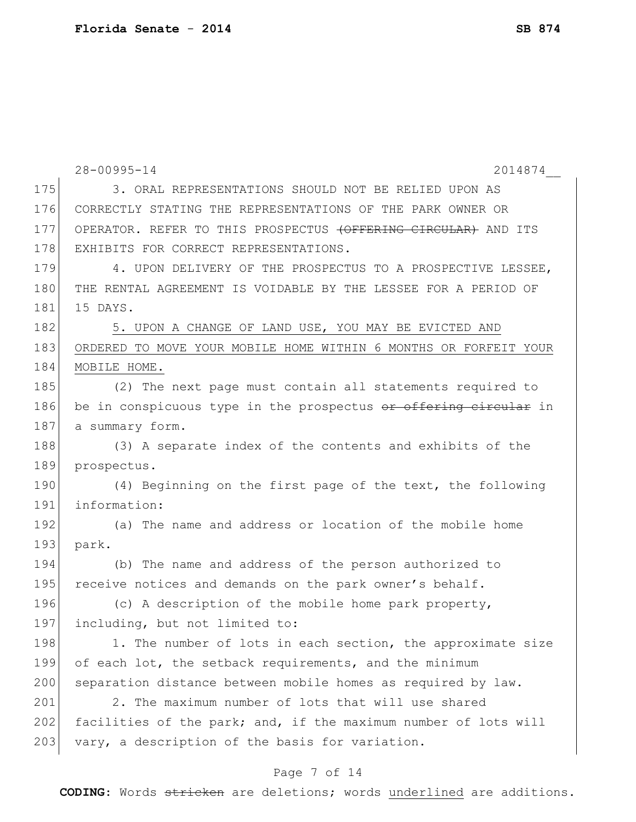|     | $28 - 00995 - 14$<br>2014874                                     |
|-----|------------------------------------------------------------------|
| 175 | 3. ORAL REPRESENTATIONS SHOULD NOT BE RELIED UPON AS             |
| 176 | CORRECTLY STATING THE REPRESENTATIONS OF THE PARK OWNER OR       |
| 177 | OPERATOR. REFER TO THIS PROSPECTUS (OFFERING CIRCULAR) AND ITS   |
| 178 | EXHIBITS FOR CORRECT REPRESENTATIONS.                            |
| 179 | 4. UPON DELIVERY OF THE PROSPECTUS TO A PROSPECTIVE LESSEE,      |
| 180 | THE RENTAL AGREEMENT IS VOIDABLE BY THE LESSEE FOR A PERIOD OF   |
| 181 | 15 DAYS.                                                         |
| 182 | 5. UPON A CHANGE OF LAND USE, YOU MAY BE EVICTED AND             |
| 183 | ORDERED TO MOVE YOUR MOBILE HOME WITHIN 6 MONTHS OR FORFEIT YOUR |
| 184 | MOBILE HOME.                                                     |
| 185 | (2) The next page must contain all statements required to        |
| 186 | be in conspicuous type in the prospectus or offering circular in |
| 187 | a summary form.                                                  |
| 188 | (3) A separate index of the contents and exhibits of the         |
| 189 | prospectus.                                                      |
| 190 | (4) Beginning on the first page of the text, the following       |
| 191 | information:                                                     |
| 192 | (a) The name and address or location of the mobile home          |
| 193 | park.                                                            |
| 194 | (b) The name and address of the person authorized to             |
| 195 | receive notices and demands on the park owner's behalf.          |
| 196 | (c) A description of the mobile home park property,              |
| 197 | including, but not limited to:                                   |
| 198 | 1. The number of lots in each section, the approximate size      |
| 199 | of each lot, the setback requirements, and the minimum           |
| 200 | separation distance between mobile homes as required by law.     |
| 201 | 2. The maximum number of lots that will use shared               |
| 202 | facilities of the park; and, if the maximum number of lots will  |
| 203 | vary, a description of the basis for variation.                  |
|     |                                                                  |

# Page 7 of 14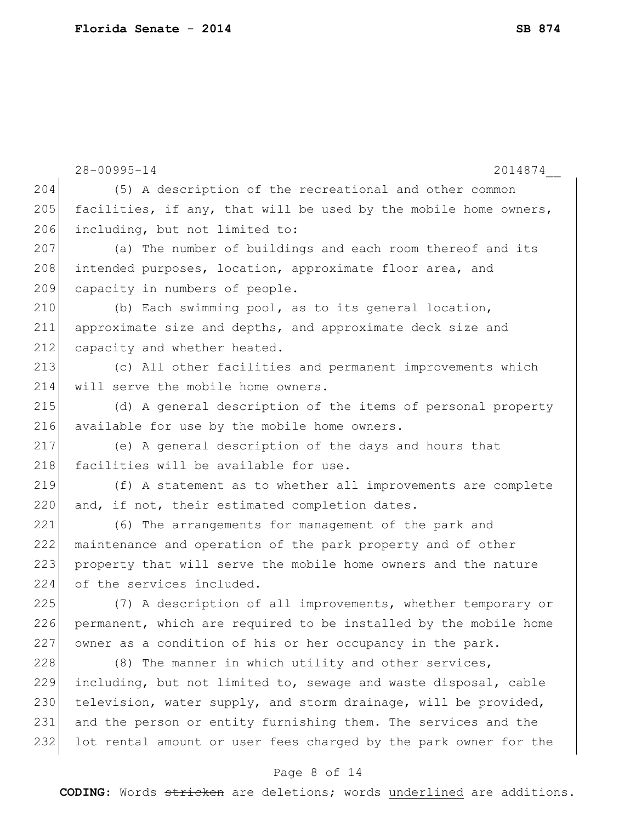|     | $28 - 00995 - 14$<br>2014874                                     |
|-----|------------------------------------------------------------------|
| 204 | (5) A description of the recreational and other common           |
| 205 | facilities, if any, that will be used by the mobile home owners, |
| 206 | including, but not limited to:                                   |
| 207 | (a) The number of buildings and each room thereof and its        |
| 208 | intended purposes, location, approximate floor area, and         |
| 209 | capacity in numbers of people.                                   |
| 210 | (b) Each swimming pool, as to its general location,              |
| 211 | approximate size and depths, and approximate deck size and       |
| 212 | capacity and whether heated.                                     |
| 213 | (c) All other facilities and permanent improvements which        |
| 214 | will serve the mobile home owners.                               |
| 215 | (d) A general description of the items of personal property      |
| 216 | available for use by the mobile home owners.                     |
| 217 | (e) A general description of the days and hours that             |
| 218 | facilities will be available for use.                            |
| 219 | (f) A statement as to whether all improvements are complete      |
| 220 | and, if not, their estimated completion dates.                   |
| 221 | (6) The arrangements for management of the park and              |
| 222 | maintenance and operation of the park property and of other      |
| 223 | property that will serve the mobile home owners and the nature   |
| 224 | of the services included.                                        |
| 225 | (7) A description of all improvements, whether temporary or      |
| 226 | permanent, which are required to be installed by the mobile home |
| 227 | owner as a condition of his or her occupancy in the park.        |
| 228 | (8) The manner in which utility and other services,              |
| 229 | including, but not limited to, sewage and waste disposal, cable  |
| 230 | television, water supply, and storm drainage, will be provided,  |
| 231 | and the person or entity furnishing them. The services and the   |
| 232 | lot rental amount or user fees charged by the park owner for the |

# Page 8 of 14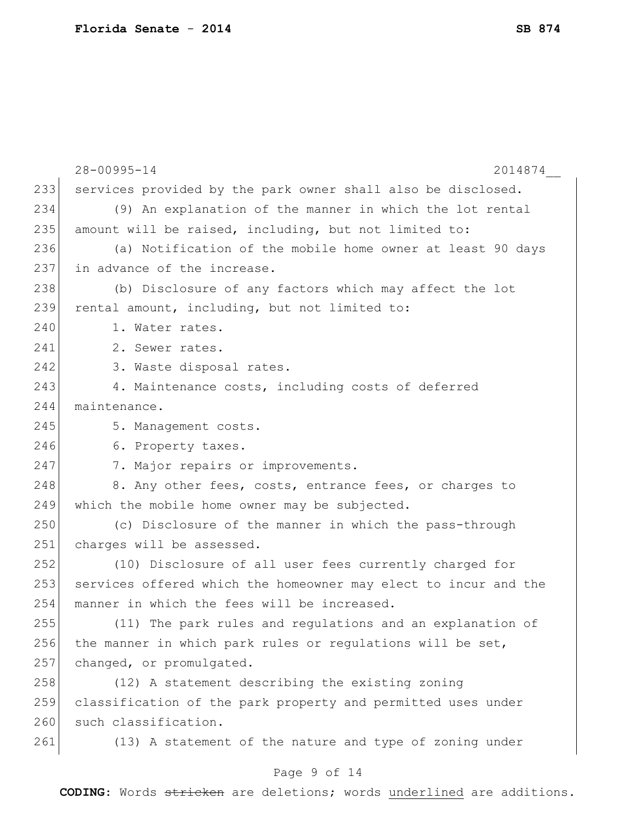|     | 28-00995-14<br>2014874                                          |
|-----|-----------------------------------------------------------------|
| 233 | services provided by the park owner shall also be disclosed.    |
| 234 | (9) An explanation of the manner in which the lot rental        |
| 235 | amount will be raised, including, but not limited to:           |
| 236 | (a) Notification of the mobile home owner at least 90 days      |
| 237 | in advance of the increase.                                     |
| 238 | (b) Disclosure of any factors which may affect the lot          |
| 239 | rental amount, including, but not limited to:                   |
| 240 | 1. Water rates.                                                 |
| 241 | 2. Sewer rates.                                                 |
| 242 | 3. Waste disposal rates.                                        |
| 243 | 4. Maintenance costs, including costs of deferred               |
| 244 | maintenance.                                                    |
| 245 | 5. Management costs.                                            |
| 246 | 6. Property taxes.                                              |
| 247 | 7. Major repairs or improvements.                               |
| 248 | 8. Any other fees, costs, entrance fees, or charges to          |
| 249 | which the mobile home owner may be subjected.                   |
| 250 | (c) Disclosure of the manner in which the pass-through          |
| 251 | charges will be assessed.                                       |
| 252 | (10) Disclosure of all user fees currently charged for          |
| 253 | services offered which the homeowner may elect to incur and the |
| 254 | manner in which the fees will be increased.                     |
| 255 | (11) The park rules and regulations and an explanation of       |
| 256 | the manner in which park rules or regulations will be set,      |
| 257 | changed, or promulgated.                                        |
| 258 | (12) A statement describing the existing zoning                 |
| 259 | classification of the park property and permitted uses under    |
| 260 | such classification.                                            |
| 261 | (13) A statement of the nature and type of zoning under         |
|     |                                                                 |

# Page 9 of 14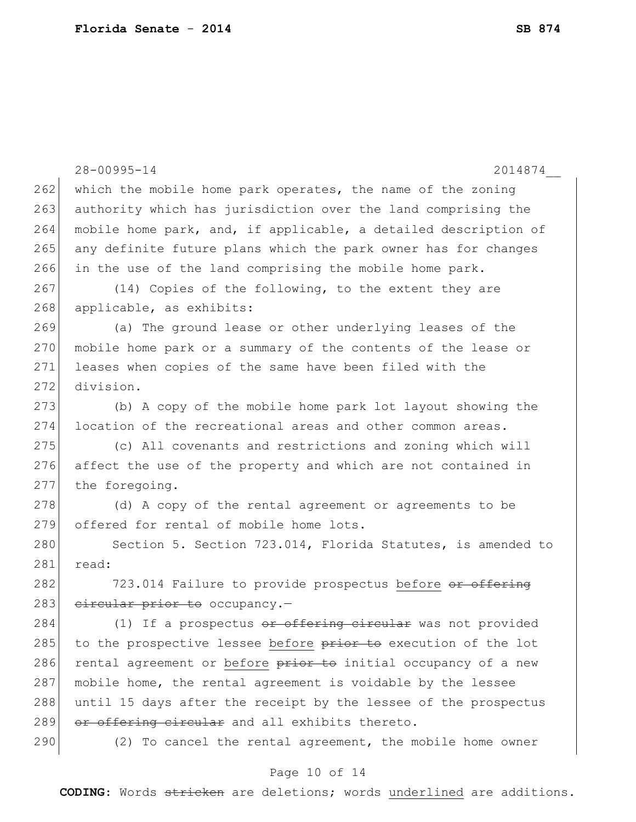|     | $28 - 00995 - 14$<br>2014874                                    |
|-----|-----------------------------------------------------------------|
| 262 | which the mobile home park operates, the name of the zoning     |
| 263 | authority which has jurisdiction over the land comprising the   |
| 264 | mobile home park, and, if applicable, a detailed description of |
| 265 | any definite future plans which the park owner has for changes  |
| 266 | in the use of the land comprising the mobile home park.         |
| 267 | (14) Copies of the following, to the extent they are            |
| 268 | applicable, as exhibits:                                        |
| 269 | (a) The ground lease or other underlying leases of the          |
| 270 | mobile home park or a summary of the contents of the lease or   |
| 271 | leases when copies of the same have been filed with the         |
| 272 | division.                                                       |
| 273 | (b) A copy of the mobile home park lot layout showing the       |
| 274 | location of the recreational areas and other common areas.      |
| 275 | (c) All covenants and restrictions and zoning which will        |
| 276 | affect the use of the property and which are not contained in   |
| 277 | the foregoing.                                                  |
| 278 | (d) A copy of the rental agreement or agreements to be          |
| 279 | offered for rental of mobile home lots.                         |
| 280 | Section 5. Section 723.014, Florida Statutes, is amended to     |
| 281 | read:                                                           |
| 282 | 723.014 Failure to provide prospectus before or offering        |
| 283 | eircular prior to occupancy.-                                   |
| 284 | (1) If a prospectus or offering circular was not provided       |
| 285 | to the prospective lessee before prior to execution of the lot  |
| 286 | rental agreement or before prior to initial occupancy of a new  |
| 287 | mobile home, the rental agreement is voidable by the lessee     |
| 288 | until 15 days after the receipt by the lessee of the prospectus |
| 289 | or offering circular and all exhibits thereto.                  |
| 290 | (2) To cancel the rental agreement, the mobile home owner       |
|     |                                                                 |

# Page 10 of 14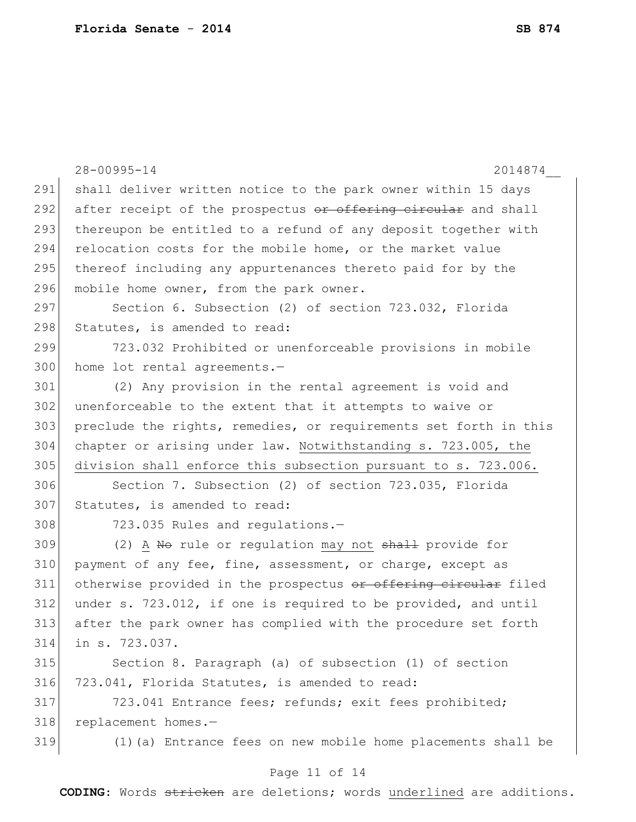|     | $28 - 00995 - 14$<br>2014874                                     |
|-----|------------------------------------------------------------------|
| 291 | shall deliver written notice to the park owner within 15 days    |
| 292 | after receipt of the prospectus or offering circular and shall   |
| 293 | thereupon be entitled to a refund of any deposit together with   |
| 294 | relocation costs for the mobile home, or the market value        |
| 295 | thereof including any appurtenances thereto paid for by the      |
| 296 | mobile home owner, from the park owner.                          |
| 297 | Section 6. Subsection (2) of section 723.032, Florida            |
| 298 | Statutes, is amended to read:                                    |
| 299 | 723.032 Prohibited or unenforceable provisions in mobile         |
| 300 | home lot rental agreements.-                                     |
| 301 | (2) Any provision in the rental agreement is void and            |
| 302 | unenforceable to the extent that it attempts to waive or         |
| 303 | preclude the rights, remedies, or requirements set forth in this |
| 304 | chapter or arising under law. Notwithstanding s. 723.005, the    |
| 305 | division shall enforce this subsection pursuant to s. 723.006.   |
| 306 | Section 7. Subsection (2) of section 723.035, Florida            |
| 307 | Statutes, is amended to read:                                    |
| 308 | 723.035 Rules and regulations.-                                  |
| 309 | (2) A No rule or regulation may not shall provide for            |
| 310 | payment of any fee, fine, assessment, or charge, except as       |
| 311 | otherwise provided in the prospectus or offering circular filed  |
| 312 | under s. 723.012, if one is required to be provided, and until   |
| 313 | after the park owner has complied with the procedure set forth   |
| 314 | in s. 723.037.                                                   |
| 315 | Section 8. Paragraph (a) of subsection (1) of section            |
| 316 | 723.041, Florida Statutes, is amended to read:                   |
| 317 | 723.041 Entrance fees; refunds; exit fees prohibited;            |
| 318 | replacement homes.-                                              |
| 319 | (1) (a) Entrance fees on new mobile home placements shall be     |
|     |                                                                  |

#### Page 11 of 14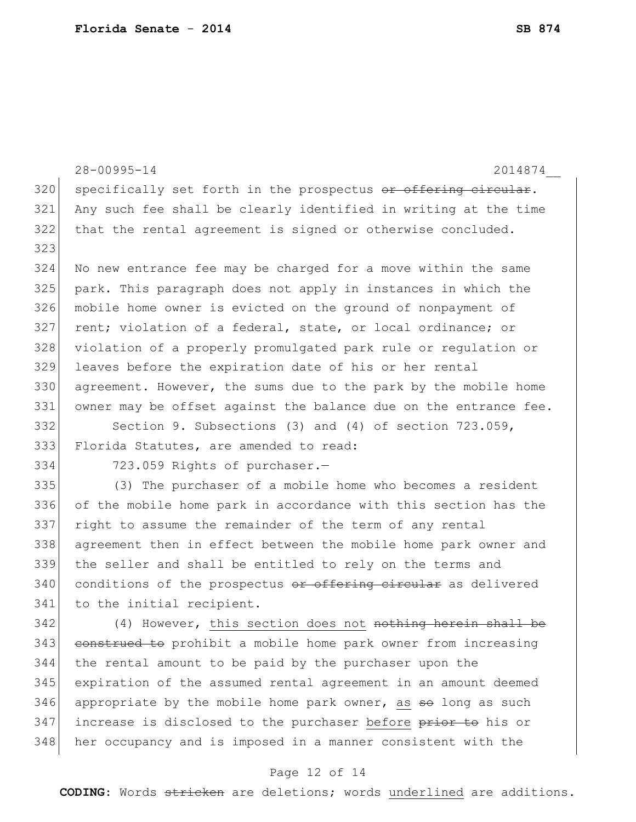|     | $28 - 00995 - 14$<br>2014874                                     |
|-----|------------------------------------------------------------------|
| 320 | specifically set forth in the prospectus or offering circular.   |
| 321 | Any such fee shall be clearly identified in writing at the time  |
| 322 | that the rental agreement is signed or otherwise concluded.      |
| 323 |                                                                  |
| 324 | No new entrance fee may be charged for a move within the same    |
| 325 | park. This paragraph does not apply in instances in which the    |
| 326 | mobile home owner is evicted on the ground of nonpayment of      |
| 327 | rent; violation of a federal, state, or local ordinance; or      |
| 328 | violation of a properly promulgated park rule or regulation or   |
| 329 | leaves before the expiration date of his or her rental           |
| 330 | agreement. However, the sums due to the park by the mobile home  |
| 331 | owner may be offset against the balance due on the entrance fee. |
| 332 | Section 9. Subsections (3) and (4) of section 723.059,           |
| 333 | Florida Statutes, are amended to read:                           |
| 334 | 723.059 Rights of purchaser.-                                    |
| 335 | (3) The purchaser of a mobile home who becomes a resident        |
| 336 | of the mobile home park in accordance with this section has the  |
| 337 | right to assume the remainder of the term of any rental          |
| 338 | agreement then in effect between the mobile home park owner and  |
| 339 | the seller and shall be entitled to rely on the terms and        |
| 340 | conditions of the prospectus or offering circular as delivered   |
| 341 | to the initial recipient.                                        |
| 342 | (4) However, this section does not nothing herein shall          |
| 343 | construed to prohibit a mobile home park owner from increasing   |
| 344 | the rental amount to be paid by the purchaser upon the           |
| 345 | expiration of the assumed rental agreement in an amount deemed   |
| 346 | appropriate by the mobile home park owner, as so long as such    |
| 347 | increase is disclosed to the purchaser before prior to his or    |
| 348 | her occupancy and is imposed in a manner consistent with the     |

# Page 12 of 14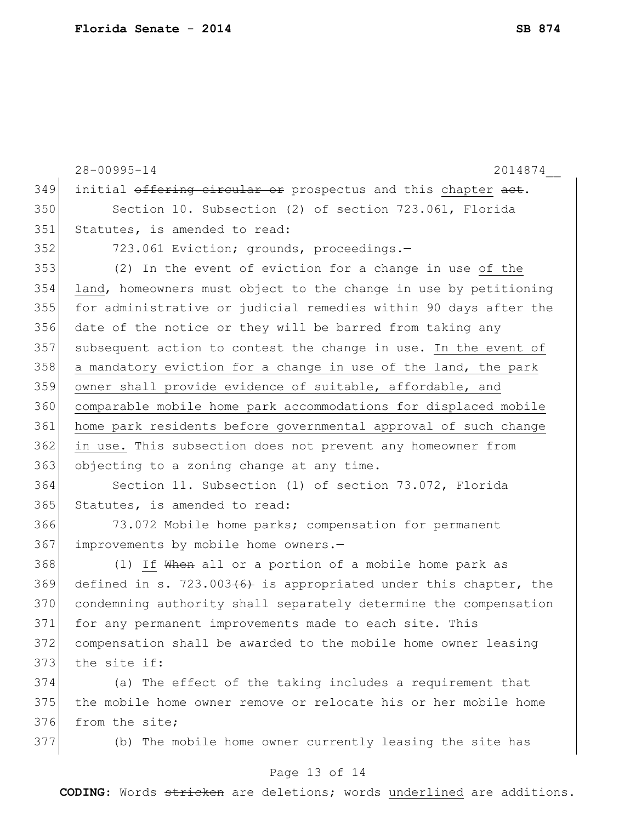28-00995-14 2014874\_\_ 349 initial offering circular or prospectus and this chapter act. Section 10. Subsection (2) of section 723.061, Florida Statutes, is amended to read: 352 723.061 Eviction; grounds, proceedings.- (2) In the event of eviction for a change in use of the land, homeowners must object to the change in use by petitioning for administrative or judicial remedies within 90 days after the date of the notice or they will be barred from taking any 357 subsequent action to contest the change in use. In the event of 358 a mandatory eviction for a change in use of the land, the park owner shall provide evidence of suitable, affordable, and comparable mobile home park accommodations for displaced mobile home park residents before governmental approval of such change in use. This subsection does not prevent any homeowner from 363 objecting to a zoning change at any time. Section 11. Subsection (1) of section 73.072, Florida 365 Statutes, is amended to read: 73.072 Mobile home parks; compensation for permanent 367 improvements by mobile home owners.-368 (1) If When all or a portion of a mobile home park as 369 defined in s. 723.003 $(6)$  is appropriated under this chapter, the condemning authority shall separately determine the compensation for any permanent improvements made to each site. This compensation shall be awarded to the mobile home owner leasing 373 the site if: (a) The effect of the taking includes a requirement that the mobile home owner remove or relocate his or her mobile home from the site; (b) The mobile home owner currently leasing the site has

#### Page 13 of 14